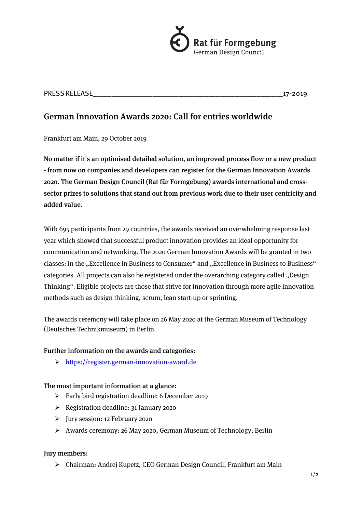

PRESS RELEASE\_\_\_\_\_\_\_\_\_\_\_\_\_\_\_\_\_\_\_\_\_\_\_\_\_\_\_\_\_\_\_\_\_\_\_\_\_\_\_\_\_\_\_\_\_\_\_\_\_\_\_17-2019

# German Innovation Awards 2020: Call for entries worldwide

Frankfurt am Main, 29 October 2019

No matter if it's an optimised detailed solution, an improved process flow or a new product - from now on companies and developers can register for the German Innovation Awards 2020. The German Design Council (Rat für Formgebung) awards international and crosssector prizes to solutions that stand out from previous work due to their user centricity and added value.

With 695 participants from 29 countries, the awards received an overwhelming response last year which showed that successful product innovation provides an ideal opportunity for communication and networking. The 2020 German Innovation Awards will be granted in two classes: in the "Excellence in Business to Consumer" and "Excellence in Business to Business" categories. All projects can also be registered under the overarching category called "Design Thinking". Eligible projects are those that strive for innovation through more agile innovation methods such as design thinking, scrum, lean start-up or sprinting.

The awards ceremony will take place on 26 May 2020 at the German Museum of Technology (Deutsches Technikmuseum) in Berlin.

## Further information on the awards and categories:

Ø https://register.german-innovation-award.de

## The most important information at a glance:

- $\triangleright$  Early bird registration deadline: 6 December 2019
- $\triangleright$  Registration deadline: 31 January 2020
- Ø Jury session: 12 February 2020
- Ø Awards ceremony: 26 May 2020, German Museum of Technology, Berlin

## Jury members:

 $\triangleright$  Chairman: Andrei Kupetz, CEO German Design Council, Frankfurt am Main